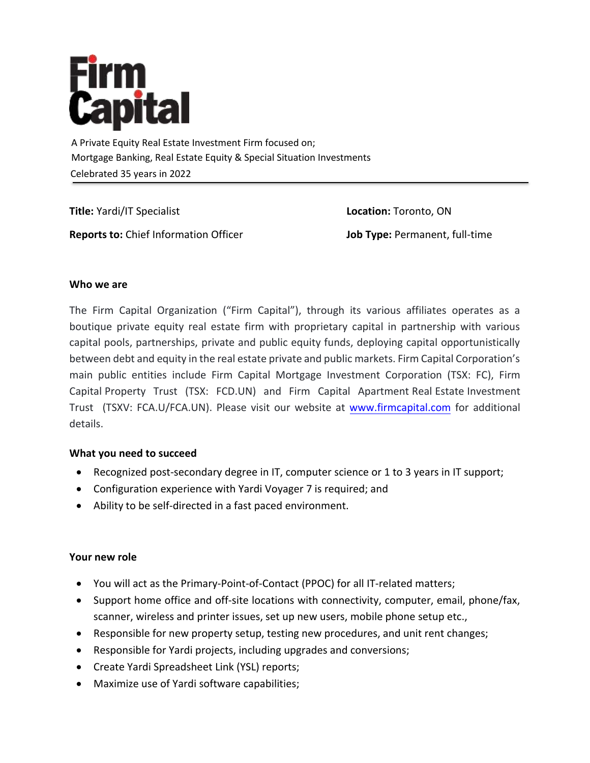

A Private Equity Real Estate Investment Firm focused on; Mortgage Banking, Real Estate Equity & Special Situation Investments Celebrated 35 years in 2022

**Title:** Yardi/IT Specialist **Reports to:** Chief Information Officer

**Location:** Toronto, ON **Job Type:** Permanent, full-time

# **Who we are**

The Firm Capital Organization ("Firm Capital"), through its various affiliates operates as a boutique private equity real estate firm with proprietary capital in partnership with various capital pools, partnerships, private and public equity funds, deploying capital opportunistically between debt and equity in the real estate private and public markets. Firm Capital Corporation's main public entities include Firm Capital Mortgage Investment Corporation (TSX: FC), Firm Capital Property Trust (TSX: FCD.UN) and Firm Capital Apartment Real Estate Investment Trust (TSXV: FCA.U/FCA.UN). Please [visit our website at w](http://www.firmcapital.com/)ww.firmcapital.com for additional details.

# **What you need to succeed**

- Recognized post-secondary degree in IT, computer science or 1 to 3 years in IT support;
- Configuration experience with Yardi Voyager 7 is required; and
- Ability to be self-directed in a fast paced environment.

# **Your new role**

- You will act as the Primary-Point-of-Contact (PPOC) for all IT-related matters;
- Support home office and off-site locations with connectivity, computer, email, phone/fax, scanner, wireless and printer issues, set up new users, mobile phone setup etc.,
- Responsible for new property setup, testing new procedures, and unit rent changes;
- Responsible for Yardi projects, including upgrades and conversions;
- Create Yardi Spreadsheet Link (YSL) reports;
- Maximize use of Yardi software capabilities;